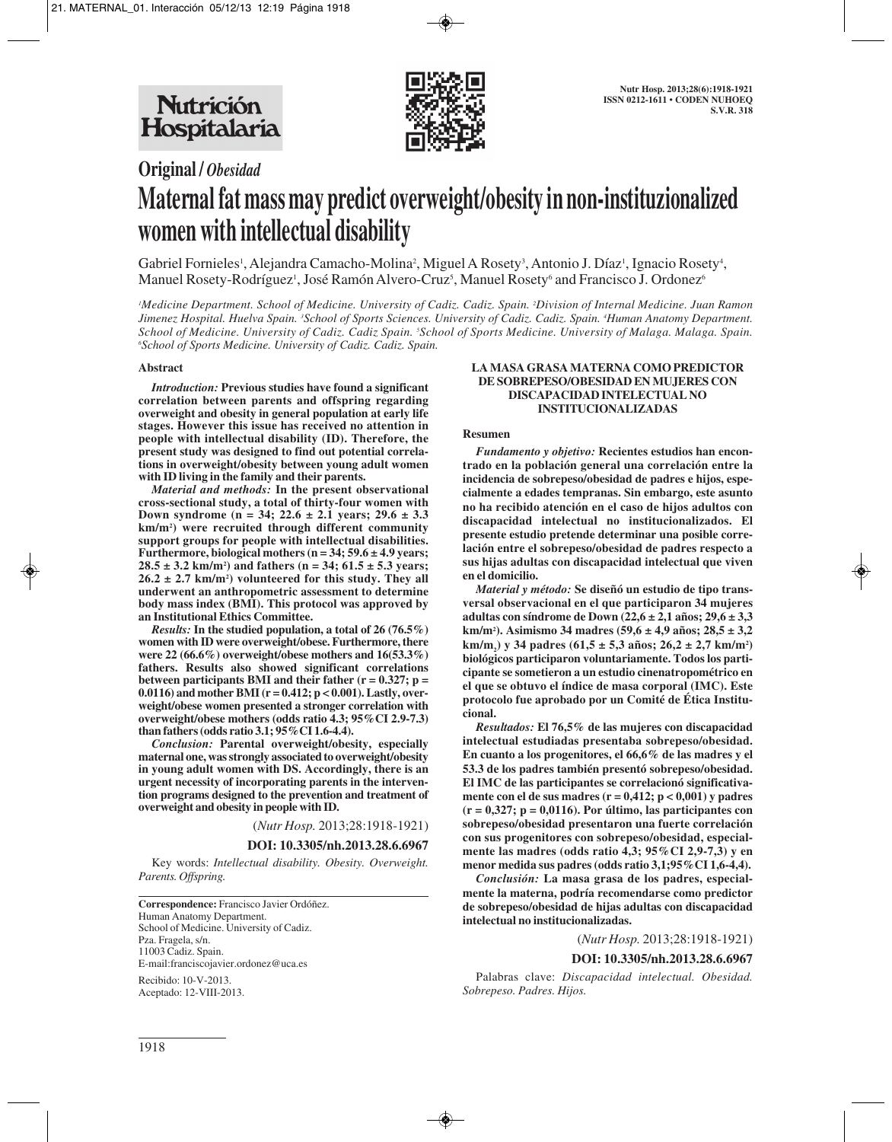

# **Original /** *Obesidad* **Maternal fat mass may predict overweight/obesity in non-instituzionalized women with intellectual disability**

Gabriel Fornieles<sup>1</sup>, Alejandra Camacho-Molina<sup>2</sup>, Miguel A Rosety<sup>3</sup>, Antonio J. Díaz<sup>1</sup>, Ignacio Rosety<sup>4</sup>, Manuel Rosety-Rodríguez<sup>1</sup>, José Ramón Alvero-Cruz<sup>5</sup>, Manuel Rosety<sup>6</sup> and Francisco J. Ordonez<sup>6</sup>

*1 Medicine Department. School of Medicine. University of Cadiz. Cadiz. Spain. 2 Division of Internal Medicine. Juan Ramon Jimenez Hospital. Huelva Spain. 3 School of Sports Sciences. University of Cadiz. Cadiz. Spain. 4 Human Anatomy Department.* School of Medicine. University of Cadiz. Cadiz Spain. <sup>s</sup>School of Sports Medicine. University of Malaga. Malaga. Spain. *6 School of Sports Medicine. University of Cadiz. Cadiz. Spain.* 

## **Abstract**

*Introduction:* **Previous studies have found a significant correlation between parents and offspring regarding overweight and obesity in general population at early life stages. However this issue has received no attention in people with intellectual disability (ID). Therefore, the present study was designed to find out potential correlations in overweight/obesity between young adult women with ID living in the family and their parents.**

*Material and methods:* **In the present observational cross-sectional study, a total of thirty-four women with Down syndrome (n = 34; 22.6 ± 2.1 years; 29.6 ± 3.3 km/m2 ) were recruited through different community support groups for people with intellectual disabilities. Furthermore, biological mothers (n = 34; 59.6 ± 4.9 years; 28.5 ± 3.2 km/m2 ) and fathers (n = 34; 61.5 ± 5.3 years; 26.2 ± 2.7 km/m2 ) volunteered for this study. They all underwent an anthropometric assessment to determine body mass index (BMI). This protocol was approved by an Institutional Ethics Committee.**

*Results:* **In the studied population, a total of 26 (76.5%) women with ID were overweight/obese. Furthermore, there were 22 (66.6%) overweight/obese mothers and 16(53.3%) fathers. Results also showed significant correlations between participants BMI and their father (r = 0.327; p = 0.0116) and mother BMI (r = 0.412; p < 0.001). Lastly, overweight/obese women presented a stronger correlation with overweight/obese mothers (odds ratio 4.3; 95%CI 2.9-7.3) than fathers (odds ratio 3.1; 95%CI 1.6-4.4).**

*Conclusion:* **Parental overweight/obesity, especially maternal one, was strongly associated to overweight/obesity in young adult women with DS. Accordingly, there is an urgent necessity of incorporating parents in the intervention programs designed to the prevention and treatment of overweight and obesity in people with ID.**

(*Nutr Hosp.* 2013;28:1918-1921)

## **DOI: 10.3305/nh.2013.28.6.6967**

Key words: *Intellectual disability. Obesity. Overweight. Parents. Offspring.*

**Correspondence:** Francisco Javier Ordóñez. Human Anatomy Department. School of Medicine. University of Cadiz. Pza. Fragela, s/n. 11003 Cadiz. Spain. E-mail:franciscojavier.ordonez@uca.es

Recibido: 10-V-2013. Aceptado: 12-VIII-2013.

#### **LA MASA GRASA MATERNA COMO PREDICTOR DE SOBREPESO/OBESIDAD EN MUJERES CON DISCAPACIDAD INTELECTUAL NO INSTITUCIONALIZADAS**

#### **Resumen**

*Fundamento y objetivo:* **Recientes estudios han encontrado en la población general una correlación entre la incidencia de sobrepeso/obesidad de padres e hijos, especialmente a edades tempranas. Sin embargo, este asunto no ha recibido atención en el caso de hijos adultos con discapacidad intelectual no institucionalizados. El presente estudio pretende determinar una posible correlación entre el sobrepeso/obesidad de padres respecto a sus hijas adultas con discapacidad intelectual que viven en el domicilio.**

*Material y método:* **Se diseñó un estudio de tipo transversal observacional en el que participaron 34 mujeres adultas con síndrome de Down (22,6 ± 2,1 años; 29,6 ± 3,3 km/m2 ). Asimismo 34 madres (59,6 ± 4,9 años; 28,5 ± 3,2 km/m2 ) y 34 padres (61,5 ± 5,3 años; 26,2 ± 2,7 km/m2 ) biológicos participaron voluntariamente. Todos los participante se sometieron a un estudio cinenatropométrico en el que se obtuvo el índice de masa corporal (IMC). Este protocolo fue aprobado por un Comité de Ética Institucional.**

*Resultados:* **El 76,5% de las mujeres con discapacidad intelectual estudiadas presentaba sobrepeso/obesidad. En cuanto a los progenitores, el 66,6% de las madres y el 53.3 de los padres también presentó sobrepeso/obesidad. El IMC de las participantes se correlacionó significativamente con el de sus madres (r = 0,412; p < 0,001) y padres (r = 0,327; p = 0,0116). Por último, las participantes con sobrepeso/obesidad presentaron una fuerte correlación con sus progenitores con sobrepeso/obesidad, especialmente las madres (odds ratio 4,3; 95%CI 2,9-7,3) y en menor medida sus padres (odds ratio 3,1;95%CI 1,6-4,4).**

*Conclusión:* **La masa grasa de los padres, especialmente la materna, podría recomendarse como predictor de sobrepeso/obesidad de hijas adultas con discapacidad intelectual no institucionalizadas.**

(*Nutr Hosp.* 2013;28:1918-1921)

## **DOI: 10.3305/nh.2013.28.6.6967**

Palabras clave: *Discapacidad intelectual. Obesidad. Sobrepeso. Padres. Hijos.*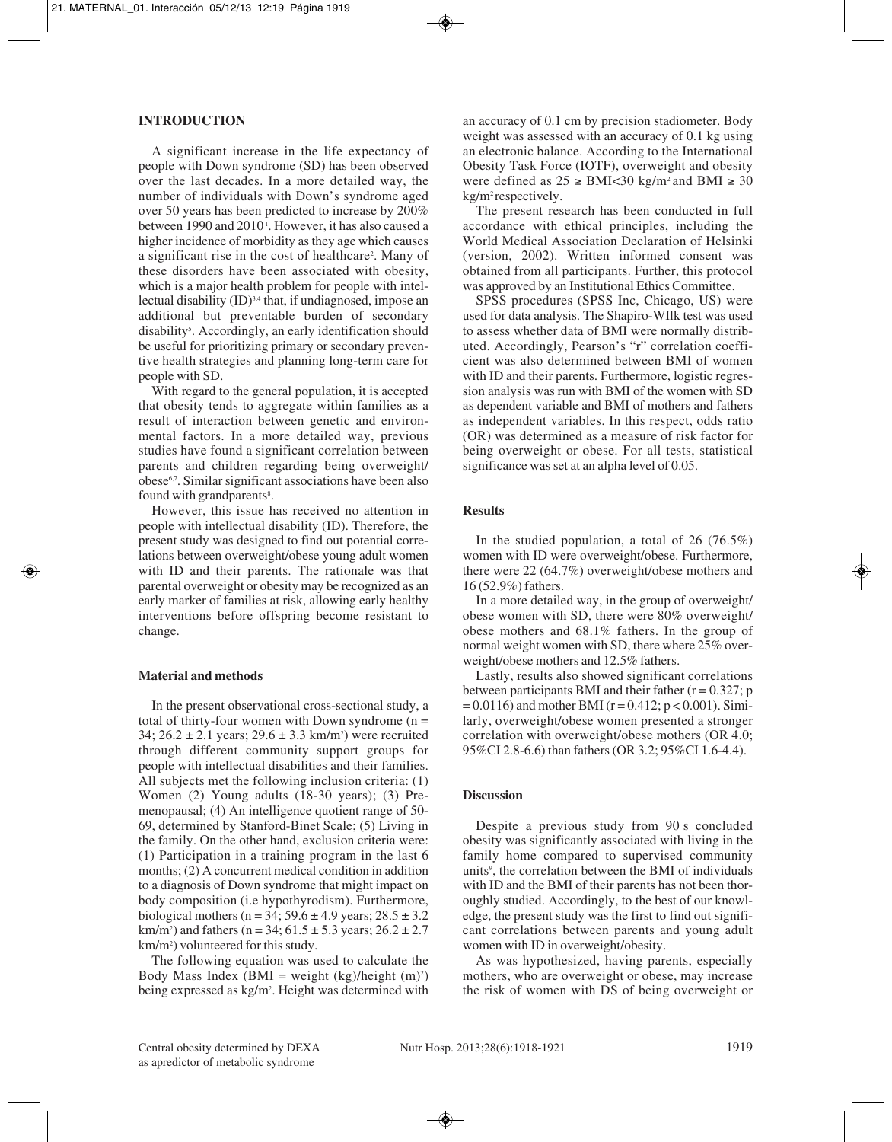## **INTRODUCTION**

A significant increase in the life expectancy of people with Down syndrome (SD) has been observed over the last decades. In a more detailed way, the number of individuals with Down's syndrome aged over 50 years has been predicted to increase by 200% between 1990 and 2010<sup>1</sup>. However, it has also caused a higher incidence of morbidity as they age which causes a significant rise in the cost of healthcare<sup>2</sup>. Many of these disorders have been associated with obesity, which is a major health problem for people with intellectual disability  $(ID)^{3,4}$  that, if undiagnosed, impose an additional but preventable burden of secondary disability<sup>5</sup>. Accordingly, an early identification should be useful for prioritizing primary or secondary preventive health strategies and planning long-term care for people with SD.

With regard to the general population, it is accepted that obesity tends to aggregate within families as a result of interaction between genetic and environmental factors. In a more detailed way, previous studies have found a significant correlation between parents and children regarding being overweight/ obese6,7. Similar significant associations have been also found with grandparents<sup>8</sup>.

However, this issue has received no attention in people with intellectual disability (ID). Therefore, the present study was designed to find out potential correlations between overweight/obese young adult women with ID and their parents. The rationale was that parental overweight or obesity may be recognized as an early marker of families at risk, allowing early healthy interventions before offspring become resistant to change.

## **Material and methods**

In the present observational cross-sectional study, a total of thirty-four women with Down syndrome  $(n =$ 34;  $26.2 \pm 2.1$  years;  $29.6 \pm 3.3$  km/m<sup>2</sup>) were recruited through different community support groups for people with intellectual disabilities and their families. All subjects met the following inclusion criteria: (1) Women (2) Young adults (18-30 years); (3) Premenopausal; (4) An intelligence quotient range of 50- 69, determined by Stanford-Binet Scale; (5) Living in the family. On the other hand, exclusion criteria were: (1) Participation in a training program in the last 6 months; (2) A concurrent medical condition in addition to a diagnosis of Down syndrome that might impact on body composition (i.e hypothyrodism). Furthermore, biological mothers (n = 34;  $59.6 \pm 4.9$  years;  $28.5 \pm 3.2$ km/m<sup>2</sup>) and fathers (n = 34;  $61.5 \pm 5.3$  years;  $26.2 \pm 2.7$ km/m2 ) volunteered for this study.

The following equation was used to calculate the Body Mass Index (BMI = weight  $(kg)/height$  (m)<sup>2</sup>) being expressed as kg/m2 . Height was determined with

an accuracy of 0.1 cm by precision stadiometer. Body weight was assessed with an accuracy of 0.1 kg using an electronic balance. According to the International Obesity Task Force (IOTF), overweight and obesity were defined as  $25 \geq \text{BMI} < 30 \text{ kg/m}^2$  and BMI  $\geq 30$ kg/m<sup>2</sup> respectively.

The present research has been conducted in full accordance with ethical principles, including the World Medical Association Declaration of Helsinki (version, 2002). Written informed consent was obtained from all participants. Further, this protocol was approved by an Institutional Ethics Committee.

SPSS procedures (SPSS Inc, Chicago, US) were used for data analysis. The Shapiro-WIlk test was used to assess whether data of BMI were normally distributed. Accordingly, Pearson's "r" correlation coefficient was also determined between BMI of women with ID and their parents. Furthermore, logistic regression analysis was run with BMI of the women with SD as dependent variable and BMI of mothers and fathers as independent variables. In this respect, odds ratio (OR) was determined as a measure of risk factor for being overweight or obese. For all tests, statistical significance was set at an alpha level of 0.05.

## **Results**

In the studied population, a total of  $26$  (76.5%) women with ID were overweight/obese. Furthermore, there were 22 (64.7%) overweight/obese mothers and 16 (52.9%) fathers.

In a more detailed way, in the group of overweight/ obese women with SD, there were 80% overweight/ obese mothers and 68.1% fathers. In the group of normal weight women with SD, there where 25% overweight/obese mothers and 12.5% fathers.

Lastly, results also showed significant correlations between participants BMI and their father  $(r = 0.327; p$  $= 0.0116$ ) and mother BMI (r = 0.412; p < 0.001). Similarly, overweight/obese women presented a stronger correlation with overweight/obese mothers (OR 4.0; 95%CI 2.8-6.6) than fathers (OR 3.2; 95%CI 1.6-4.4).

## **Discussion**

Despite a previous study from 90 s concluded obesity was significantly associated with living in the family home compared to supervised community units<sup>9</sup>, the correlation between the BMI of individuals with ID and the BMI of their parents has not been thoroughly studied. Accordingly, to the best of our knowledge, the present study was the first to find out significant correlations between parents and young adult women with ID in overweight/obesity.

As was hypothesized, having parents, especially mothers, who are overweight or obese, may increase the risk of women with DS of being overweight or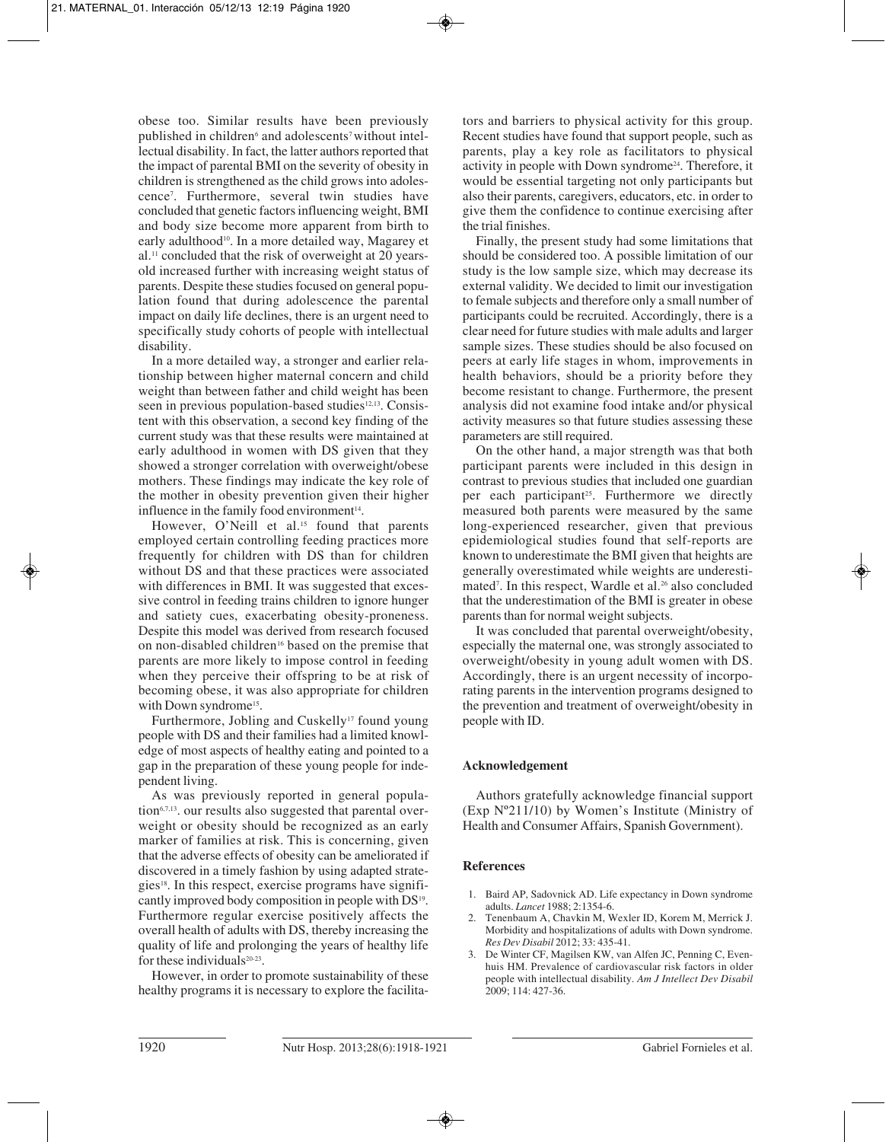obese too. Similar results have been previously published in children<sup>6</sup> and adolescents<sup>7</sup> without intellectual disability. In fact, the latter authors reported that the impact of parental BMI on the severity of obesity in children is strengthened as the child grows into adolescence7 . Furthermore, several twin studies have concluded that genetic factors influencing weight, BMI and body size become more apparent from birth to early adulthood<sup>10</sup>. In a more detailed way, Magarey et al.11 concluded that the risk of overweight at 20 yearsold increased further with increasing weight status of parents. Despite these studies focused on general population found that during adolescence the parental impact on daily life declines, there is an urgent need to specifically study cohorts of people with intellectual disability.

In a more detailed way, a stronger and earlier relationship between higher maternal concern and child weight than between father and child weight has been seen in previous population-based studies<sup>12,13</sup>. Consistent with this observation, a second key finding of the current study was that these results were maintained at early adulthood in women with DS given that they showed a stronger correlation with overweight/obese mothers. These findings may indicate the key role of the mother in obesity prevention given their higher influence in the family food environment $14$ .

However, O'Neill et al.<sup>15</sup> found that parents employed certain controlling feeding practices more frequently for children with DS than for children without DS and that these practices were associated with differences in BMI. It was suggested that excessive control in feeding trains children to ignore hunger and satiety cues, exacerbating obesity-proneness. Despite this model was derived from research focused on non-disabled children<sup>16</sup> based on the premise that parents are more likely to impose control in feeding when they perceive their offspring to be at risk of becoming obese, it was also appropriate for children with Down syndrome<sup>15</sup>.

Furthermore, Jobling and Cuskelly<sup>17</sup> found young people with DS and their families had a limited knowledge of most aspects of healthy eating and pointed to a gap in the preparation of these young people for independent living.

As was previously reported in general population<sup>6,7,13</sup>, our results also suggested that parental overweight or obesity should be recognized as an early marker of families at risk. This is concerning, given that the adverse effects of obesity can be ameliorated if discovered in a timely fashion by using adapted strategies<sup>18</sup>. In this respect, exercise programs have significantly improved body composition in people with DS19. Furthermore regular exercise positively affects the overall health of adults with DS, thereby increasing the quality of life and prolonging the years of healthy life for these individuals<sup>20-23</sup>.

However, in order to promote sustainability of these healthy programs it is necessary to explore the facilitators and barriers to physical activity for this group. Recent studies have found that support people, such as parents, play a key role as facilitators to physical activity in people with Down syndrome24. Therefore, it would be essential targeting not only participants but also their parents, caregivers, educators, etc. in order to give them the confidence to continue exercising after the trial finishes.

Finally, the present study had some limitations that should be considered too. A possible limitation of our study is the low sample size, which may decrease its external validity. We decided to limit our investigation to female subjects and therefore only a small number of participants could be recruited. Accordingly, there is a clear need for future studies with male adults and larger sample sizes. These studies should be also focused on peers at early life stages in whom, improvements in health behaviors, should be a priority before they become resistant to change. Furthermore, the present analysis did not examine food intake and/or physical activity measures so that future studies assessing these parameters are still required.

On the other hand, a major strength was that both participant parents were included in this design in contrast to previous studies that included one guardian per each participant<sup>25</sup>. Furthermore we directly measured both parents were measured by the same long-experienced researcher, given that previous epidemiological studies found that self-reports are known to underestimate the BMI given that heights are generally overestimated while weights are underestimated<sup>7</sup>. In this respect, Wardle et al.<sup>26</sup> also concluded that the underestimation of the BMI is greater in obese parents than for normal weight subjects.

It was concluded that parental overweight/obesity, especially the maternal one, was strongly associated to overweight/obesity in young adult women with DS. Accordingly, there is an urgent necessity of incorporating parents in the intervention programs designed to the prevention and treatment of overweight/obesity in people with ID.

# **Acknowledgement**

Authors gratefully acknowledge financial support (Exp Nº211/10) by Women's Institute (Ministry of Health and Consumer Affairs, Spanish Government).

## **References**

- 1. Baird AP, Sadovnick AD. Life expectancy in Down syndrome adults. *Lancet* 1988; 2:1354-6.
- 2. Tenenbaum A, Chavkin M, Wexler ID, Korem M, Merrick J. Morbidity and hospitalizations of adults with Down syndrome. *Res Dev Disabil* 2012; 33: 435-41.
- 3. De Winter CF, Magilsen KW, van Alfen JC, Penning C, Evenhuis HM. Prevalence of cardiovascular risk factors in older people with intellectual disability. *Am J Intellect Dev Disabil* 2009; 114: 427-36.